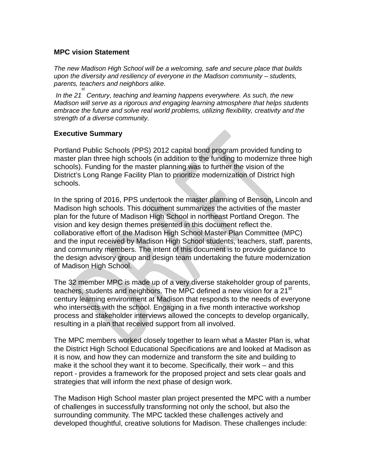## **MPC vision Statement**

*The new Madison High School will be a welcoming, safe and secure place that builds upon the diversity and resiliency of everyone in the Madison community – students, parents, teachers and neighbors alike. st*

*In the 21 Century, teaching and learning happens everywhere. As such, the new Madison will serve as a rigorous and engaging learning atmosphere that helps students embrace the future and solve real world problems, utilizing flexibility, creativity and the strength of a diverse community.*

## **Executive Summary**

Portland Public Schools (PPS) 2012 capital bond program provided funding to master plan three high schools (in addition to the funding to modernize three high schools). Funding for the master planning was to further the vision of the District's Long Range Facility Plan to prioritize modernization of District high schools.

In the spring of 2016, PPS undertook the master planning of Benson, Lincoln and Madison high schools. This document summarizes the activities of the master plan for the future of Madison High School in northeast Portland Oregon. The vision and key design themes presented in this document reflect the. collaborative effort of the Madison High School Master Plan Committee (MPC) and the input received by Madison High School students, teachers, staff, parents, and community members. The intent of this document is to provide guidance to the design advisory group and design team undertaking the future modernization of Madison High School.

The 32 member MPC is made up of a very diverse stakeholder group of parents, teachers, students and neighbors. The MPC defined a new vision for a 21<sup>st</sup> century learning environment at Madison that responds to the needs of everyone who intersects with the school. Engaging in a five month interactive workshop process and stakeholder interviews allowed the concepts to develop organically, resulting in a plan that received support from all involved.

The MPC members worked closely together to learn what a Master Plan is, what the District High School Educational Specifications are and looked at Madison as it is now, and how they can modernize and transform the site and building to make it the school they want it to become. Specifically, their work – and this report - provides a framework for the proposed project and sets clear goals and strategies that will inform the next phase of design work.

The Madison High School master plan project presented the MPC with a number of challenges in successfully transforming not only the school, but also the surrounding community. The MPC tackled these challenges actively and developed thoughtful, creative solutions for Madison. These challenges include: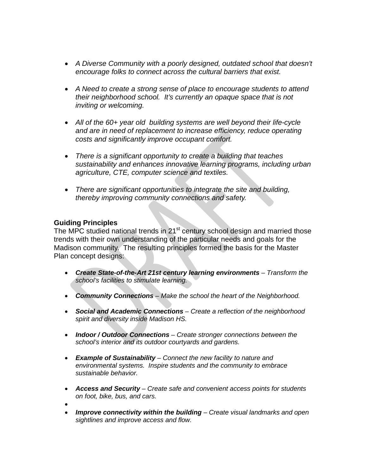- *A Diverse Community with a poorly designed, outdated school that doesn't encourage folks to connect across the cultural barriers that exist.*
- *A Need to create a strong sense of place to encourage students to attend their neighborhood school. It's currently an opaque space that is not inviting or welcoming.*
- *All of the 60+ year old building systems are well beyond their life-cycle and are in need of replacement to increase efficiency, reduce operating costs and significantly improve occupant comfort.*
- *There is a significant opportunity to create a building that teaches sustainability and enhances innovative learning programs, including urban agriculture, CTE, computer science and textiles.*
- *There are significant opportunities to integrate the site and building, thereby improving community connections and safety.*

## **Guiding Principles**

The MPC studied national trends in 21<sup>st</sup> century school design and married those trends with their own understanding of the particular needs and goals for the Madison community. The resulting principles formed the basis for the Master Plan concept designs:

- Create State-of-the-Art 21st century learning environments Transform the *school's facilities to stimulate learning.*
- *Community Connections – Make the school the heart of the Neighborhood.*
- *Social and Academic Connections – Create a reflection of the neighborhood spirit and diversity inside Madison HS.*
- *Indoor / Outdoor Connections – Create stronger connections between the school's interior and its outdoor courtyards and gardens.*
- *Example of Sustainability – Connect the new facility to nature and environmental systems. Inspire students and the community to embrace sustainable behavior.*
- *Access and Security – Create safe and convenient access points for students on foot, bike, bus, and cars.*
- •
- *Improve connectivity within the building – Create visual landmarks and open sightlines and improve access and flow.*